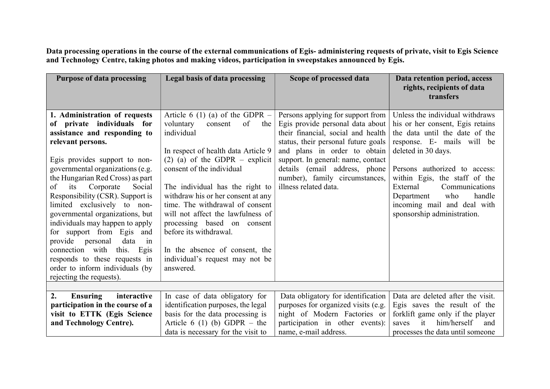Data processing operations in the course of the external communications of Egis- administering requests of private, visit to Egis Science and Technology Centre, taking photos and making videos, participation in sweepstakes announced by Egis.

| <b>Purpose of data processing</b>                                                                                                                                                                                                                                                                                                                                                                                                                                                            | Legal basis of data processing                                                                                                                                                                                                                                                                                                                                                                   | Scope of processed data                                                                                                                                        | Data retention period, access<br>rights, recipients of data<br>transfers                                                                                                                  |
|----------------------------------------------------------------------------------------------------------------------------------------------------------------------------------------------------------------------------------------------------------------------------------------------------------------------------------------------------------------------------------------------------------------------------------------------------------------------------------------------|--------------------------------------------------------------------------------------------------------------------------------------------------------------------------------------------------------------------------------------------------------------------------------------------------------------------------------------------------------------------------------------------------|----------------------------------------------------------------------------------------------------------------------------------------------------------------|-------------------------------------------------------------------------------------------------------------------------------------------------------------------------------------------|
| 1. Administration of requests<br>of private individuals for                                                                                                                                                                                                                                                                                                                                                                                                                                  | Article 6 (1) (a) of the GDPR $-$<br>of<br>voluntary<br>the<br>consent                                                                                                                                                                                                                                                                                                                           | Persons applying for support from<br>Egis provide personal data about                                                                                          | Unless the individual withdraws<br>his or her consent, Egis retains                                                                                                                       |
| assistance and responding to<br>relevant persons.                                                                                                                                                                                                                                                                                                                                                                                                                                            | individual                                                                                                                                                                                                                                                                                                                                                                                       | their financial, social and health<br>status, their personal future goals                                                                                      | the data until the date of the<br>response. E- mails will be<br>deleted in 30 days.                                                                                                       |
| Egis provides support to non-<br>governmental organizations (e.g.<br>the Hungarian Red Cross) as part<br>Social<br>Corporate<br>of<br>its<br>Responsibility (CSR). Support is<br>limited exclusively to non-<br>governmental organizations, but<br>individuals may happen to apply<br>for support from Egis and<br>provide personal<br>data<br>$\dot{m}$<br>connection with<br>this.<br>Egis<br>responds to these requests in<br>order to inform individuals (by<br>rejecting the requests). | In respect of health data Article 9<br>$(2)$ (a) of the GDPR – explicit<br>consent of the individual<br>The individual has the right to<br>withdraw his or her consent at any<br>time. The withdrawal of consent<br>will not affect the lawfulness of<br>processing based on consent<br>before its withdrawal.<br>In the absence of consent, the<br>individual's request may not be<br>answered. | and plans in order to obtain<br>support. In general: name, contact<br>details (email address, phone<br>number), family circumstances,<br>illness related data. | Persons authorized to access:<br>within Egis, the staff of the<br>External<br>Communications<br>who<br>handle<br>Department<br>incoming mail and deal with<br>sponsorship administration. |
|                                                                                                                                                                                                                                                                                                                                                                                                                                                                                              |                                                                                                                                                                                                                                                                                                                                                                                                  |                                                                                                                                                                |                                                                                                                                                                                           |
| 2.<br>interactive<br>Ensuring<br>participation in the course of a<br>visit to ETTK (Egis Science<br>and Technology Centre).                                                                                                                                                                                                                                                                                                                                                                  | In case of data obligatory for<br>identification purposes, the legal<br>basis for the data processing is<br>Article 6 (1) (b) GDPR – the                                                                                                                                                                                                                                                         | Data obligatory for identification<br>purposes for organized visits (e.g.<br>night of Modern Factories or<br>participation in other events):                   | Data are deleted after the visit.<br>Egis saves the result of the<br>forklift game only if the player<br>him/herself<br>it<br>saves<br>and                                                |
|                                                                                                                                                                                                                                                                                                                                                                                                                                                                                              | data is necessary for the visit to                                                                                                                                                                                                                                                                                                                                                               | name, e-mail address.                                                                                                                                          | processes the data until someone                                                                                                                                                          |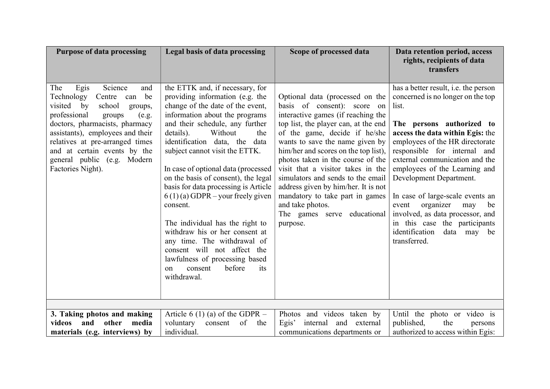| <b>Purpose of data processing</b>                                                                                                                                                                                                                                                                                                  | Legal basis of data processing                                                                                                                                                                                                                                                                                                                                                                                                                                                                                                                                                                                                                                                         | Scope of processed data                                                                                                                                                                                                                                                                                                                                                                                                                                                                                          | Data retention period, access<br>rights, recipients of data<br>transfers                                                                                                                                                                                                                                                                                                                                                                                                                                          |
|------------------------------------------------------------------------------------------------------------------------------------------------------------------------------------------------------------------------------------------------------------------------------------------------------------------------------------|----------------------------------------------------------------------------------------------------------------------------------------------------------------------------------------------------------------------------------------------------------------------------------------------------------------------------------------------------------------------------------------------------------------------------------------------------------------------------------------------------------------------------------------------------------------------------------------------------------------------------------------------------------------------------------------|------------------------------------------------------------------------------------------------------------------------------------------------------------------------------------------------------------------------------------------------------------------------------------------------------------------------------------------------------------------------------------------------------------------------------------------------------------------------------------------------------------------|-------------------------------------------------------------------------------------------------------------------------------------------------------------------------------------------------------------------------------------------------------------------------------------------------------------------------------------------------------------------------------------------------------------------------------------------------------------------------------------------------------------------|
| The<br>Egis<br>Science<br>and<br>can be<br>Technology<br>Centre<br>visited by<br>school<br>groups,<br>professional<br>(e.g.<br>groups<br>doctors, pharmacists, pharmacy<br>assistants), employees and their<br>relatives at pre-arranged times<br>and at certain events by the<br>general public (e.g. Modern<br>Factories Night). | the ETTK and, if necessary, for<br>providing information (e.g. the<br>change of the date of the event,<br>information about the programs<br>and their schedule, any further<br>details).<br>Without<br>the<br>identification data, the data<br>subject cannot visit the ETTK.<br>In case of optional data (processed<br>on the basis of consent), the legal<br>basis for data processing is Article<br>$6(1)(a)$ GDPR – your freely given<br>consent.<br>The individual has the right to<br>withdraw his or her consent at<br>any time. The withdrawal of<br>consent will not affect the<br>lawfulness of processing based<br>before<br>consent<br>its<br><sub>on</sub><br>withdrawal. | Optional data (processed on the<br>basis of consent): score on<br>interactive games (if reaching the<br>top list, the player can, at the end<br>of the game, decide if he/she<br>wants to save the name given by<br>him/her and scores on the top list),<br>photos taken in the course of the<br>visit that a visitor takes in the<br>simulators and sends to the email<br>address given by him/her. It is not<br>mandatory to take part in games<br>and take photos.<br>The games serve educational<br>purpose. | has a better result, i.e. the person<br>concerned is no longer on the top<br>list.<br>The persons authorized to<br>access the data within Egis: the<br>employees of the HR directorate<br>responsible for internal and<br>external communication and the<br>employees of the Learning and<br>Development Department.<br>In case of large-scale events an<br>organizer<br>may<br>event<br>be<br>involved, as data processor, and<br>in this case the participants<br>identification<br>data may be<br>transferred. |
|                                                                                                                                                                                                                                                                                                                                    |                                                                                                                                                                                                                                                                                                                                                                                                                                                                                                                                                                                                                                                                                        |                                                                                                                                                                                                                                                                                                                                                                                                                                                                                                                  |                                                                                                                                                                                                                                                                                                                                                                                                                                                                                                                   |
| 3. Taking photos and making<br>and<br>media<br>other<br>videos<br>materials (e.g. interviews) by                                                                                                                                                                                                                                   | Article 6 (1) (a) of the GDPR $-$<br>of<br>voluntary<br>consent<br>the<br>individual.                                                                                                                                                                                                                                                                                                                                                                                                                                                                                                                                                                                                  | Photos and videos taken by<br>Egis'<br>internal<br>and<br>external<br>communications departments or                                                                                                                                                                                                                                                                                                                                                                                                              | Until the photo or video is<br>published,<br>the<br>persons<br>authorized to access within Egis:                                                                                                                                                                                                                                                                                                                                                                                                                  |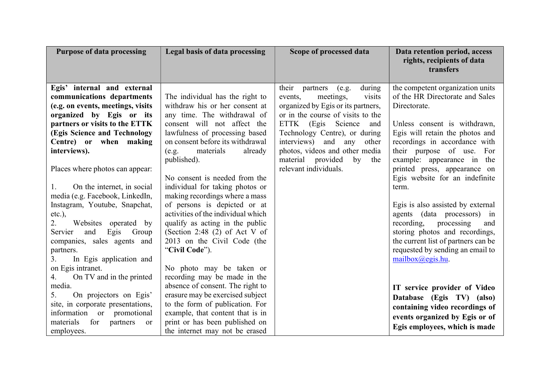| <b>Purpose of data processing</b>                                                                                                                                                                                                                                                                                                                                                                                                                                                                                                                                                                   | Legal basis of data processing                                                                                                                                                                                                                                                                                                                                                                                                                                                                                                                                                                                       | Scope of processed data                                                                                                                                                                                                                                                                                                                            | Data retention period, access<br>rights, recipients of data<br>transfers                                                                                                                                                                                                                                                                                                                                                                                                                                                                                           |
|-----------------------------------------------------------------------------------------------------------------------------------------------------------------------------------------------------------------------------------------------------------------------------------------------------------------------------------------------------------------------------------------------------------------------------------------------------------------------------------------------------------------------------------------------------------------------------------------------------|----------------------------------------------------------------------------------------------------------------------------------------------------------------------------------------------------------------------------------------------------------------------------------------------------------------------------------------------------------------------------------------------------------------------------------------------------------------------------------------------------------------------------------------------------------------------------------------------------------------------|----------------------------------------------------------------------------------------------------------------------------------------------------------------------------------------------------------------------------------------------------------------------------------------------------------------------------------------------------|--------------------------------------------------------------------------------------------------------------------------------------------------------------------------------------------------------------------------------------------------------------------------------------------------------------------------------------------------------------------------------------------------------------------------------------------------------------------------------------------------------------------------------------------------------------------|
| Egis' internal and external<br>communications departments<br>(e.g. on events, meetings, visits<br>organized by Egis or its<br>partners or visits to the ETTK<br>(Egis Science and Technology<br>Centre) or when making<br>interviews).<br>Places where photos can appear:<br>On the internet, in social<br>1.<br>media (e.g. Facebook, LinkedIn,<br>Instagram, Youtube, Snapchat,<br>$etc.$ ),<br>2.<br>Websites operated by<br>Egis<br>and<br>Group<br>Servier<br>companies, sales agents and<br>partners.<br>In Egis application and<br>3.<br>on Egis intranet.<br>4.<br>On TV and in the printed | The individual has the right to<br>withdraw his or her consent at<br>any time. The withdrawal of<br>consent will not affect the<br>lawfulness of processing based<br>on consent before its withdrawal<br>materials<br>already<br>(e.g.<br>published).<br>No consent is needed from the<br>individual for taking photos or<br>making recordings where a mass<br>of persons is depicted or at<br>activities of the individual which<br>qualify as acting in the public<br>(Section 2:48 $(2)$ of Act V of<br>2013 on the Civil Code (the<br>"Civil Code").<br>No photo may be taken or<br>recording may be made in the | their<br>during<br>partners<br>(e.g.<br>events,<br>meetings,<br>visits<br>organized by Egis or its partners,<br>or in the course of visits to the<br>ETTK (Egis Science<br>and<br>Technology Centre), or during<br>interviews)<br>and<br>any<br>other<br>photos, videos and other media<br>material provided<br>by<br>the<br>relevant individuals. | the competent organization units<br>of the HR Directorate and Sales<br>Directorate.<br>Unless consent is withdrawn,<br>Egis will retain the photos and<br>recordings in accordance with<br>their purpose of use. For<br>example: appearance in the<br>printed press, appearance on<br>Egis website for an indefinite<br>term.<br>Egis is also assisted by external<br>agents (data processors) in<br>recording, processing<br>and<br>storing photos and recordings,<br>the current list of partners can be<br>requested by sending an email to<br>mailbox@egis.hu. |
| media.<br>On projectors on Egis'<br>5.<br>site, in corporate presentations,<br>information or<br>promotional<br>materials<br>for<br>partners<br>or<br>employees.                                                                                                                                                                                                                                                                                                                                                                                                                                    | absence of consent. The right to<br>erasure may be exercised subject<br>to the form of publication. For<br>example, that content that is in<br>print or has been published on<br>the internet may not be erased                                                                                                                                                                                                                                                                                                                                                                                                      |                                                                                                                                                                                                                                                                                                                                                    | IT service provider of Video<br>Database (Egis TV) (also)<br>containing video recordings of<br>events organized by Egis or of<br>Egis employees, which is made                                                                                                                                                                                                                                                                                                                                                                                                     |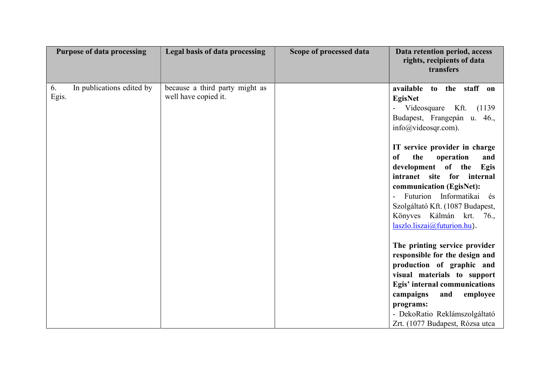|             | <b>Purpose of data processing</b> | Legal basis of data processing                         | Scope of processed data | Data retention period, access<br>rights, recipients of data<br>transfers                                                                                                                                                                                                                                                                                                                                                   |
|-------------|-----------------------------------|--------------------------------------------------------|-------------------------|----------------------------------------------------------------------------------------------------------------------------------------------------------------------------------------------------------------------------------------------------------------------------------------------------------------------------------------------------------------------------------------------------------------------------|
| 6.<br>Egis. | In publications edited by         | because a third party might as<br>well have copied it. |                         | available to the staff on<br><b>EgisNet</b><br>Videosquare<br>Kft.<br>(1139)<br>Budapest, Frangepán u. 46.,<br>$info@video$ sqr.com).<br>IT service provider in charge<br>the<br>operation<br>of<br>and<br>development of the<br>Egis<br>intranet site for internal<br>communication (EgisNet):<br>Futurion Informatikai és<br>Szolgáltató Kft. (1087 Budapest,<br>Könyves Kálmán krt. 76.,<br>laszlo.liszai@futurion.hu). |
|             |                                   |                                                        |                         | The printing service provider<br>responsible for the design and<br>production of graphic and<br>visual materials to support<br>Egis' internal communications<br>campaigns<br>and<br>employee<br>programs:<br>- DekoRatio Reklámszolgáltató<br>Zrt. (1077 Budapest, Rózsa utca                                                                                                                                              |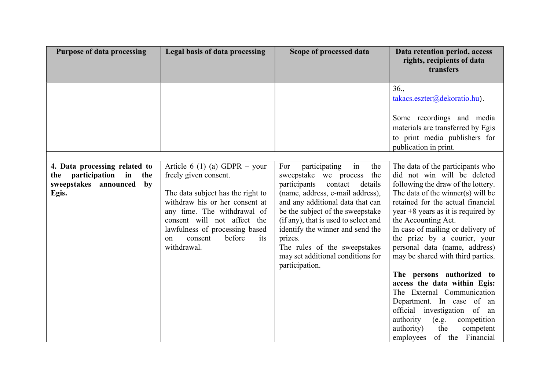| <b>Purpose of data processing</b>                                                                                  | <b>Legal basis of data processing</b>                                                                                                                                                                                                                                                     | Scope of processed data                                                                                                                                                                                                                                                                                                                                                                           | Data retention period, access<br>rights, recipients of data<br>transfers                                                                                                                                                                                                                                                                                                                                                                                                                                                                                                                                                 |
|--------------------------------------------------------------------------------------------------------------------|-------------------------------------------------------------------------------------------------------------------------------------------------------------------------------------------------------------------------------------------------------------------------------------------|---------------------------------------------------------------------------------------------------------------------------------------------------------------------------------------------------------------------------------------------------------------------------------------------------------------------------------------------------------------------------------------------------|--------------------------------------------------------------------------------------------------------------------------------------------------------------------------------------------------------------------------------------------------------------------------------------------------------------------------------------------------------------------------------------------------------------------------------------------------------------------------------------------------------------------------------------------------------------------------------------------------------------------------|
|                                                                                                                    |                                                                                                                                                                                                                                                                                           |                                                                                                                                                                                                                                                                                                                                                                                                   | 36.<br>takacs.eszter@dekoratio.hu).<br>Some recordings and media<br>materials are transferred by Egis<br>to print media publishers for<br>publication in print.                                                                                                                                                                                                                                                                                                                                                                                                                                                          |
| 4. Data processing related to<br>the participation<br>$\mathbf{in}$<br>the<br>sweepstakes announced<br>by<br>Egis. | Article 6 (1) (a) GDPR – your<br>freely given consent.<br>The data subject has the right to<br>withdraw his or her consent at<br>any time. The withdrawal of<br>consent will not affect the<br>lawfulness of processing based<br>consent<br>before<br>its<br><sub>on</sub><br>withdrawal. | participating<br>in<br>the<br>For<br>sweepstake we process<br>the<br>participants<br>contact<br>details<br>(name, address, e-mail address),<br>and any additional data that can<br>be the subject of the sweepstake<br>(if any), that is used to select and<br>identify the winner and send the<br>prizes.<br>The rules of the sweepstakes<br>may set additional conditions for<br>participation. | The data of the participants who<br>did not win will be deleted<br>following the draw of the lottery.<br>The data of the winner(s) will be<br>retained for the actual financial<br>year $+8$ years as it is required by<br>the Accounting Act.<br>In case of mailing or delivery of<br>the prize by a courier, your<br>personal data (name, address)<br>may be shared with third parties.<br>The persons authorized to<br>access the data within Egis:<br>The External Communication<br>Department. In case of an<br>official investigation of an<br>authority<br>(e.g.<br>competition<br>authority)<br>the<br>competent |